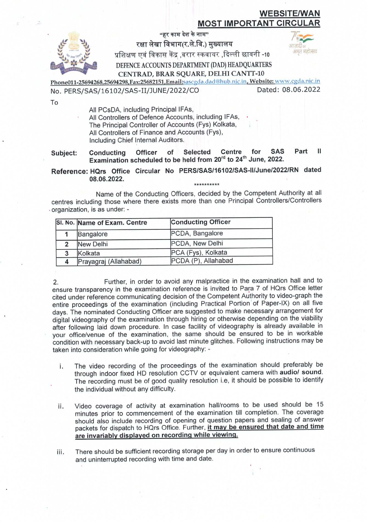## **WEBSITE/WAN** MOST IMPORTANT CIRCU

"हर काम देश के नाम"

रक्षा लेखा विभाग(र.ले.वि.) मुख्यालय

अमत महोत्सव

प्रशिक्षण एवं विकास केंद्र ,बरार स्कवायर ,दिल्ली छावनी -10

DEFENCE ACCOUNTS DEPARTMENT (DAD) HEADQUARTERS CENTRAD, BRAR SQUARE, DELHI CANTT-10

Phone011-25694268,25694298,Fax:25682151,Email:sascgda.dad@hub.nic.in, Website: www.cgda.nic.in No. PERS/SAS/16102/SAS-II/JUNE/2022/CO

Dated: 08.06.2022

To

All PCsDA, including Principal IFAs,

All Controllers of Defence Accounts, including IFAs, The Principal Controller of Accounts (Fys) Kolkata, All Controllers of Finance and Accounts (Fys), Including Chief Internal Auditors.

Ш Centre for **SAS** Part Officer of Selected Subject: Conducting Examination scheduled to be held from 20<sup>rd</sup> to 24<sup>th</sup> June, 2022.

Reference: HQrs Office Circular No PERS/SAS/16102/SAS-II/June/2022/RN dated 08.06.2022. \*\*\*\*\*\*\*\*\*\*

Name of the Conducting Officers, decided by the Competent Authority at all centres including those where there exists more than one Principal Controllers/Controllers organization, is as under: -

|   | SI. No. Name of Exam. Centre | <b>Conducting Officer</b> |
|---|------------------------------|---------------------------|
|   | Bangalore                    | PCDA, Bangalore           |
|   | New Delhi                    | PCDA, New Delhi           |
| 3 | Kolkata                      | PCA (Fys), Kolkata        |
|   | Prayagraj (Allahabad)        | PCDA (P), Allahabad       |

Further, in order to avoid any malpractice in the examination hall and to 2. ensure transparency in the examination reference is invited to Para 7 of HQrs Office letter cited under reference communicating decision of the Competent Authority to video-graph the entire proceedings of the examination (including Practical Portion of Paper-IX) on all five days. The nominated Conducting Officer are suggested to make necessary arrangement for digital videography of the examination through hiring or otherwise depending on the viability after following laid down procedure. In case facility of videography is already available in your office/venue of the examination, the same should be ensured to be in workable condition with necessary back-up to avoid last minute glitches. Following instructions may be taken into consideration while going for videography: -

- The video recording of the proceedings of the examination should preferably be i. through indoor fixed HD resolution CCTV or equivalent camera with audio/ sound. The recording must be of good quality resolution i.e, it should be possible to identify the individual without any difficulty.
- Video coverage of activity at examination hall/rooms to be used should be 15 ii. minutes prior to commencement of the examination till completion. The coverage should also include recording of opening of question papers and sealing of answer packets for dispatch to HQrs Office. Further, it may be ensured that date and time are invariably displayed on recording while viewing.

There should be sufficient recording storage per day in order to ensure continuous iii. and uninterrupted recording with time and date.